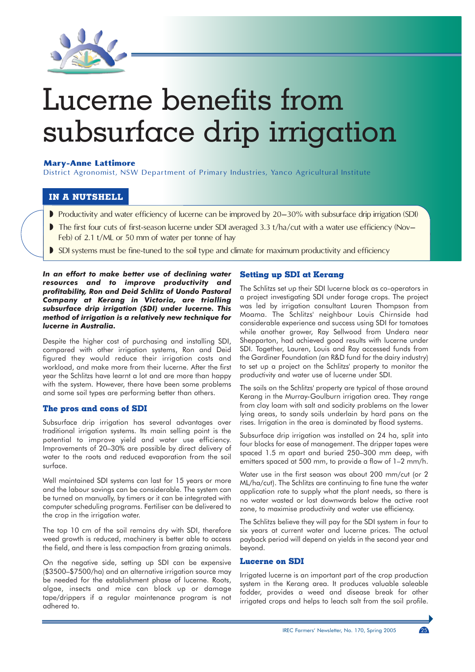

# Lucerne benefits from subsurface drip irrigation

## **Marv-Anne Lattimore**

District Agronomist, NSW Department of Primary Industries, Yanco Agricultural Institute

## IN A NUTSHELL

- Productivity and water efficiency of lucerne can be improved by 20–30% with subsurface drip irrigation (SDI)
- The first four cuts of first-season lucerne under SDI averaged 3.3 t/ha/cut with a water use efficiency (Nov-Feb) of 2.1 t/ML or 50 mm of water per tonne of hay
- SDI systems must be fine-tuned to the soil type and climate for maximum productivity and efficiency

In an effort to make better use of declining water resources and to improve productivity and profitability, Ron and Deid Schlitz of Uondo Pastoral Company at Kerang in Victoria, are trialling subsurface drip irrigation (SDI) under lucerne. This method of irrigation is a relatively new technique for **Iucerne in Australia.** 

Despite the higher cost of purchasing and installing SDI, compared with other irrigation systems, Ron and Deid figured they would reduce their irrigation costs and workload, and make more from their lucerne. After the first year the Schlitzs have learnt a lot and are more than happy with the system. However, there have been some problems and some soil types are performing better than others.

### The pros and cons of SDI

Subsurface drip irrigation has several advantages over traditional irrigation systems. Its main selling point is the potential to improve yield and water use efficiency. Improvements of 20-30% are possible by direct delivery of water to the roots and reduced evaporation from the soil surface.

Well maintained SDI systems can last for 15 years or more and the labour savings can be considerable. The system can be turned on manually, by timers or it can be integrated with computer scheduling programs. Fertiliser can be delivered to the crop in the irrigation water.

The top 10 cm of the soil remains dry with SDI, therefore weed growth is reduced, machinery is better able to access the field, and there is less compaction from grazing animals.

On the negative side, setting up SDI can be expensive (\$3500-\$7500/ha) and an alternative irrigation source may be needed for the establishment phase of lucerne. Roots, algae, insects and mice can block up or damage tape/drippers if a regular maintenance program is not adhered to

## **Setting up SDI at Kerang**

The Schlitzs set up their SDI lucerne block as co-operators in a project investigating SDI under forage crops. The project was led by irrigation consultant Lauren Thompson from Moama. The Schlitzs' neighbour Louis Chirnside had considerable experience and success using SDI for tomatoes while another grower, Ray Sellwood from Undera near Shepparton, had achieved good results with lucerne under SDI. Together, Lauren, Louis and Ray accessed funds from the Gardiner Foundation (an R&D fund for the dairy industry) to set up a project on the Schlitzs' property to monitor the productivity and water use of lucerne under SDI.

The soils on the Schlitzs' property are typical of those around Kerang in the Murray-Goulburn irrigation area. They range from clay loam with salt and sodicity problems on the lower lying areas, to sandy soils underlain by hard pans on the rises. Irrigation in the area is dominated by flood systems.

Subsurface drip irrigation was installed on 24 ha, split into four blocks for ease of management. The dripper tapes were spaced 1.5 m apart and buried 250-300 mm deep, with emitters spaced at 500 mm, to provide a flow of 1-2 mm/h.

Water use in the first season was about 200 mm/cut (or 2 ML/ha/cut). The Schlitzs are continuing to fine tune the water application rate to supply what the plant needs, so there is no water wasted or lost downwards below the active root zone, to maximise productivity and water use efficiency.

The Schlitzs believe they will pay for the SDI system in four to six years at current water and lucerne prices. The actual payback period will depend on yields in the second year and hevond.

#### **Lucerne on SDI**

Irrigated lucerne is an important part of the crop production system in the Kerang area. It produces valuable saleable fodder, provides a weed and disease break for other irrigated crops and helps to leach salt from the soil profile.